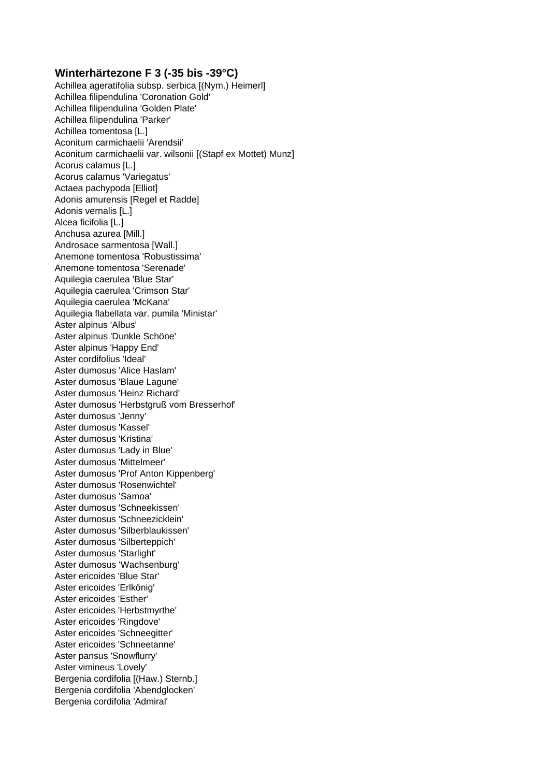## **Winterhärtezone F 3 (-35 bis -39°C)**

Achillea ageratifolia subsp. serbica [(Nym.) Heimerl] Achillea filipendulina 'Coronation Gold' Achillea filipendulina 'Golden Plate' Achillea filipendulina 'Parker' Achillea tomentosa [L.] Aconitum carmichaelii 'Arendsii' Aconitum carmichaelii var. wilsonii [(Stapf ex Mottet) Munz] Acorus calamus [L.] Acorus calamus 'Variegatus' Actaea pachypoda [Elliot] Adonis amurensis [Regel et Radde] Adonis vernalis [L.] Alcea ficifolia [L.] Anchusa azurea [Mill.] Androsace sarmentosa [Wall.] Anemone tomentosa 'Robustissima' Anemone tomentosa 'Serenade' Aquilegia caerulea 'Blue Star' Aquilegia caerulea 'Crimson Star' Aquilegia caerulea 'McKana' Aquilegia flabellata var. pumila 'Ministar' Aster alpinus 'Albus' Aster alpinus 'Dunkle Schöne' Aster alpinus 'Happy End' Aster cordifolius 'Ideal' Aster dumosus 'Alice Haslam' Aster dumosus 'Blaue Lagune' Aster dumosus 'Heinz Richard' Aster dumosus 'Herbstgruß vom Bresserhof' Aster dumosus 'Jenny' Aster dumosus 'Kassel' Aster dumosus 'Kristina' Aster dumosus 'Lady in Blue' Aster dumosus 'Mittelmeer' Aster dumosus 'Prof Anton Kippenberg' Aster dumosus 'Rosenwichtel' Aster dumosus 'Samoa' Aster dumosus 'Schneekissen' Aster dumosus 'Schneezicklein' Aster dumosus 'Silberblaukissen' Aster dumosus 'Silberteppich' Aster dumosus 'Starlight' Aster dumosus 'Wachsenburg' Aster ericoides 'Blue Star' Aster ericoides 'Erlkönig' Aster ericoides 'Esther' Aster ericoides 'Herbstmyrthe' Aster ericoides 'Ringdove' Aster ericoides 'Schneegitter' Aster ericoides 'Schneetanne' Aster pansus 'Snowflurry' Aster vimineus 'Lovely' Bergenia cordifolia [(Haw.) Sternb.] Bergenia cordifolia 'Abendglocken' Bergenia cordifolia 'Admiral'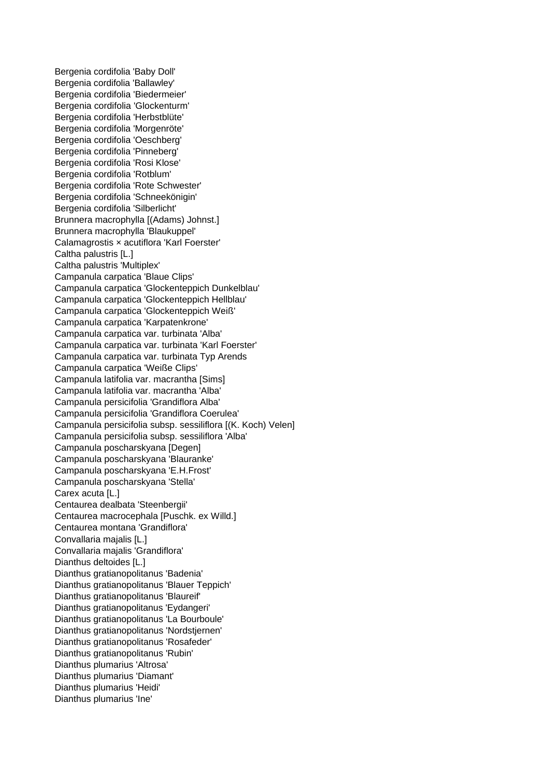Bergenia cordifolia 'Baby Doll' Bergenia cordifolia 'Ballawley' Bergenia cordifolia 'Biedermeier' Bergenia cordifolia 'Glockenturm' Bergenia cordifolia 'Herbstblüte' Bergenia cordifolia 'Morgenröte' Bergenia cordifolia 'Oeschberg' Bergenia cordifolia 'Pinneberg' Bergenia cordifolia 'Rosi Klose' Bergenia cordifolia 'Rotblum' Bergenia cordifolia 'Rote Schwester' Bergenia cordifolia 'Schneekönigin' Bergenia cordifolia 'Silberlicht' Brunnera macrophylla [(Adams) Johnst.] Brunnera macrophylla 'Blaukuppel' Calamagrostis × acutiflora 'Karl Foerster' Caltha palustris [L.] Caltha palustris 'Multiplex' Campanula carpatica 'Blaue Clips' Campanula carpatica 'Glockenteppich Dunkelblau' Campanula carpatica 'Glockenteppich Hellblau' Campanula carpatica 'Glockenteppich Weiß' Campanula carpatica 'Karpatenkrone' Campanula carpatica var. turbinata 'Alba' Campanula carpatica var. turbinata 'Karl Foerster' Campanula carpatica var. turbinata Typ Arends Campanula carpatica 'Weiße Clips' Campanula latifolia var. macrantha [Sims] Campanula latifolia var. macrantha 'Alba' Campanula persicifolia 'Grandiflora Alba' Campanula persicifolia 'Grandiflora Coerulea' Campanula persicifolia subsp. sessiliflora [(K. Koch) Velen] Campanula persicifolia subsp. sessiliflora 'Alba' Campanula poscharskyana [Degen] Campanula poscharskyana 'Blauranke' Campanula poscharskyana 'E.H.Frost' Campanula poscharskyana 'Stella' Carex acuta [L.] Centaurea dealbata 'Steenbergii' Centaurea macrocephala [Puschk. ex Willd.] Centaurea montana 'Grandiflora' Convallaria majalis [L.] Convallaria majalis 'Grandiflora' Dianthus deltoides [L.] Dianthus gratianopolitanus 'Badenia' Dianthus gratianopolitanus 'Blauer Teppich' Dianthus gratianopolitanus 'Blaureif' Dianthus gratianopolitanus 'Eydangeri' Dianthus gratianopolitanus 'La Bourboule' Dianthus gratianopolitanus 'Nordstjernen' Dianthus gratianopolitanus 'Rosafeder' Dianthus gratianopolitanus 'Rubin' Dianthus plumarius 'Altrosa' Dianthus plumarius 'Diamant' Dianthus plumarius 'Heidi' Dianthus plumarius 'Ine'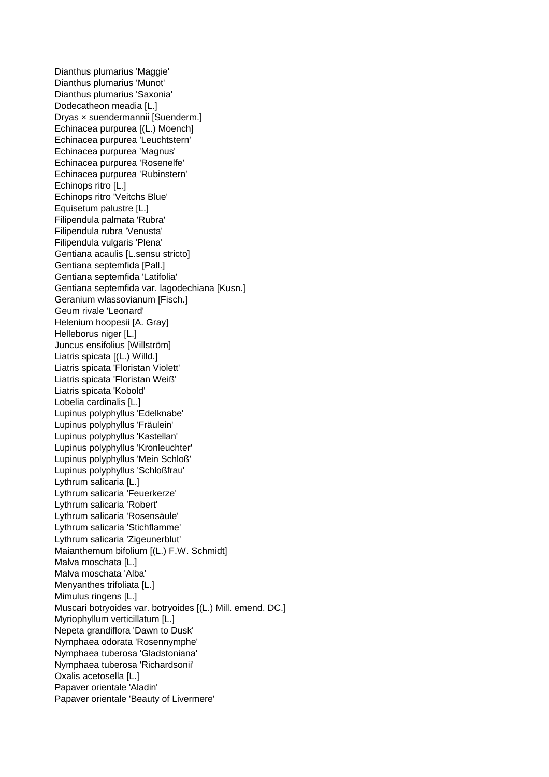Dianthus plumarius 'Maggie' Dianthus plumarius 'Munot' Dianthus plumarius 'Saxonia' Dodecatheon meadia [L.] Dryas × suendermannii [Suenderm.] Echinacea purpurea [(L.) Moench] Echinacea purpurea 'Leuchtstern' Echinacea purpurea 'Magnus' Echinacea purpurea 'Rosenelfe' Echinacea purpurea 'Rubinstern' Echinops ritro [L.] Echinops ritro 'Veitchs Blue' Equisetum palustre [L.] Filipendula palmata 'Rubra' Filipendula rubra 'Venusta' Filipendula vulgaris 'Plena' Gentiana acaulis [L.sensu stricto] Gentiana septemfida [Pall.] Gentiana septemfida 'Latifolia' Gentiana septemfida var. lagodechiana [Kusn.] Geranium wlassovianum [Fisch.] Geum rivale 'Leonard' Helenium hoopesii [A. Gray] Helleborus niger [L.] Juncus ensifolius [Willström] Liatris spicata [(L.) Willd.] Liatris spicata 'Floristan Violett' Liatris spicata 'Floristan Weiß' Liatris spicata 'Kobold' Lobelia cardinalis [L.] Lupinus polyphyllus 'Edelknabe' Lupinus polyphyllus 'Fräulein' Lupinus polyphyllus 'Kastellan' Lupinus polyphyllus 'Kronleuchter' Lupinus polyphyllus 'Mein Schloß' Lupinus polyphyllus 'Schloßfrau' Lythrum salicaria [L.] Lythrum salicaria 'Feuerkerze' Lythrum salicaria 'Robert' Lythrum salicaria 'Rosensäule' Lythrum salicaria 'Stichflamme' Lythrum salicaria 'Zigeunerblut' Maianthemum bifolium [(L.) F.W. Schmidt] Malva moschata [L.] Malva moschata 'Alba' Menyanthes trifoliata [L.] Mimulus ringens [L.] Muscari botryoides var. botryoides [(L.) Mill. emend. DC.] Myriophyllum verticillatum [L.] Nepeta grandiflora 'Dawn to Dusk' Nymphaea odorata 'Rosennymphe' Nymphaea tuberosa 'Gladstoniana' Nymphaea tuberosa 'Richardsonii' Oxalis acetosella [L.] Papaver orientale 'Aladin' Papaver orientale 'Beauty of Livermere'